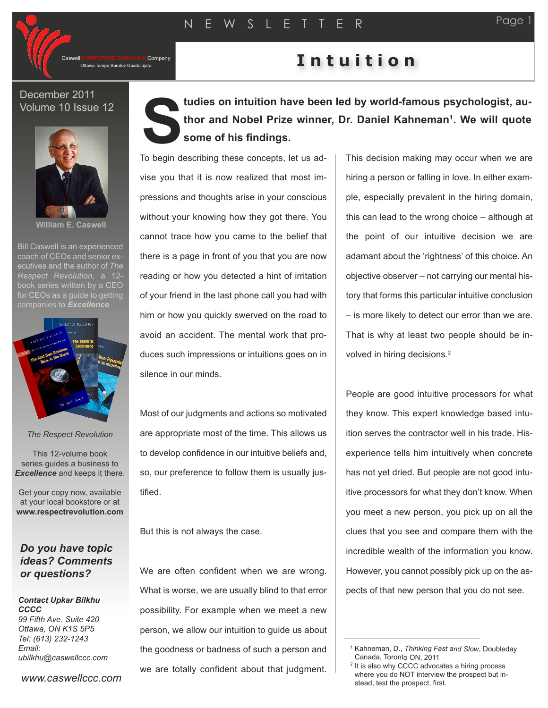Company

### December 2011 Volume 10 Issue 12



**William E. Caswell**

Bill Caswell is an experienced coach of CEOs and senior executives and the author of *The Respect Revolution*, a 12 book series written by a CEO for CEOs as a quide to getting companies to *Excellence*



#### *The Respect Revolution*

This 12-volume book series guides a business to *Excellence* and keeps it there.

Get your copy now, available at your local bookstore or at **www.respectrevolution.com**

## *Do you have topic ideas? Comments or questions?*

#### *Contact Upkar Bilkhu CCCC 99 Fifth Ave. Suite 420 Ottawa, ON K1S 5P5*

*Tel: (613) 232-1243 Email: ubilkhu@caswellccc.com*

*www.caswellccc.com*

# **tudies on intuition have been led by world-famous psychologist, author and Nobel Prize winner, Dr. Daniel Kahneman1. We will quote some of his findings. S**

T o begin describing these concepts, let us advise you that it is now realized that most impressions and thoughts arise in your conscious without your knowing how they got there. You cannot trace how you came to the belief that there is a page in front of you that you are now reading or how you detected a hint of irritation of your friend in the last phone call you had with him or how you quickly swerved on the road to avoid an accident. The mental work that produces such impressions or intuitions goes on in silence in our minds.

Most of our judgments and actions so motivated are appropriate most of the time. This allows us to develop confidence in our intuitive beliefs and, so, our preference to follow them is usually justified.

But this is not always the case.

We are often confident when we are wrong. What is worse, we are usually blind to that error possibility. For example when we meet a new person, we allow our intuition to guide us about the goodness or badness of such a person and we are totally confident about that judgment.

This decision making may occur when we are hiring a person or falling in love. In either example, especially prevalent in the hiring domain, this can lead to the wrong choice – although at the point of our intuitive decision we are adamant about the 'rightness' of this choice. An objective observer – not carrying our mental history that forms this particular intuitive conclusion – is more likely to detect our error than we are. That is why at least two people should be involved in hiring decisions. 2

People are good intuitive processors for what they know. This expert knowledge based intuition serves the contractor well in his trade. Hisexperience tells him intuitively when concrete has not yet dried. But people are not good intuitive processors for what they don't know. When you meet a new person, you pick up on all the clues that you see and compare them with the incredible wealth of the information you know. However, you cannot possibly pick up on the aspects of that new person that you do not see.

Page



<sup>1</sup> Kahneman, D., *Thinking Fast and Slow*, Doubleday Canada, Toronto ON, 2011

<sup>&</sup>lt;sup>2</sup> It is also why CCCC advocates a hiring process where you do NOT interview the prospect but instead, test the prospect, first.